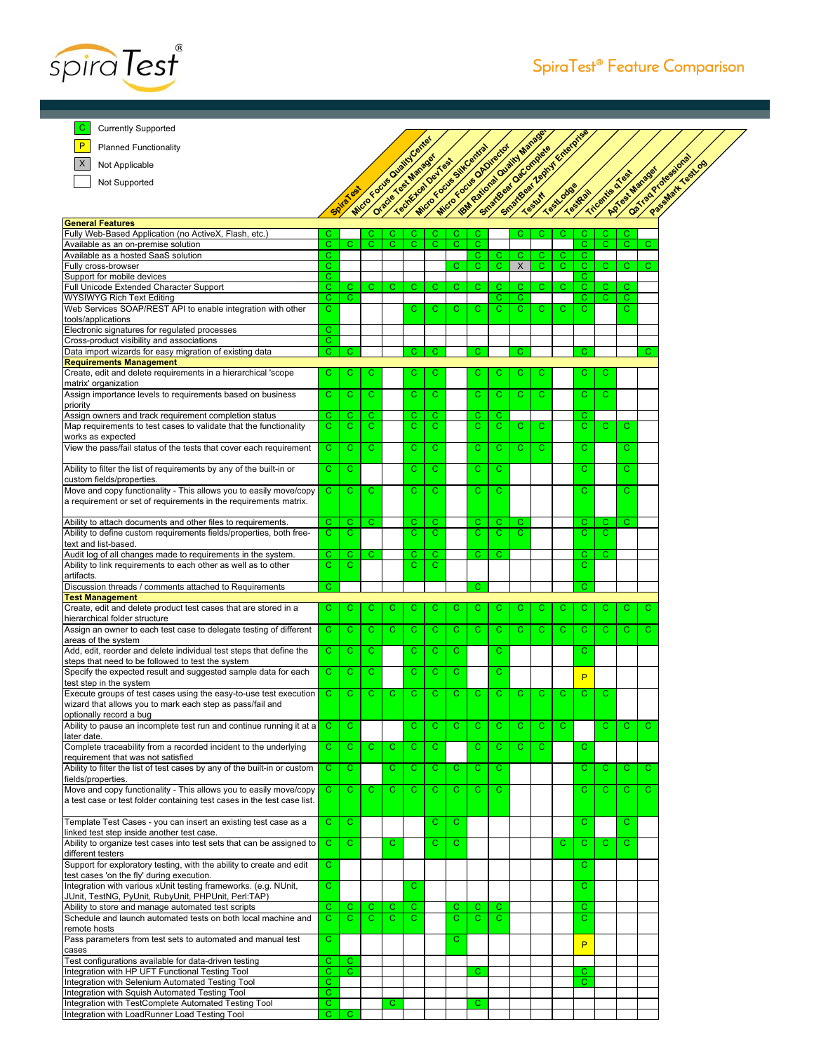

C Currently Supported

Planned Functionality

Not Applicable

 $\vert x \vert$ Not Supported

**General Features**

P

**SpiraTest Manager Central Central Central Central Central Central Central Central Central Central Central Central IBM Rational Primeries SmartBear Zephyr Enterprise TestLodge TestRail Tricentis Construction Construction Construction** Fully Web-Based Application (no ActiveX, Flash, etc.) <mark> C C C C C C C C C C(C(C)C(C(C</mark> Available as an on-premise solution CCCCCCCC CCCC

| Available as a hosted SaaS solution                                       | С            |    |    |             |    |             |    | С  | С            | С  | С  | C. | C. |              |   |   |
|---------------------------------------------------------------------------|--------------|----|----|-------------|----|-------------|----|----|--------------|----|----|----|----|--------------|---|---|
| Fully cross-browser                                                       | C            |    |    |             |    |             | С  | С  | С            | X  | C. | С  | C  | C.           | С | С |
| Support for mobile devices                                                | C.           |    |    |             |    |             |    |    |              |    |    |    | C  |              |   |   |
| Full Unicode Extended Character Support                                   | C.           | C. | C  | $\mathbf C$ | C. | C           | С  | C. | C.           | C  | C. | C  | Ċ. | $\mathbf{C}$ | С |   |
| <b>WYSIWYG Rich Text Editing</b>                                          | C            | C. |    |             |    |             |    |    | С            | C  |    |    | С  | C.           | С |   |
| Web Services SOAP/REST API to enable integration with other               | C            |    |    |             | C  | C           | C  | C  | C            | Ċ  | C  | C  | Ċ  |              | C |   |
| tools/applications                                                        |              |    |    |             |    |             |    |    |              |    |    |    |    |              |   |   |
| Electronic signatures for regulated processes                             | C            |    |    |             |    |             |    |    |              |    |    |    |    |              |   |   |
| Cross-product visibility and associations                                 | Ċ            |    |    |             |    |             |    |    |              |    |    |    |    |              |   |   |
| Data import wizards for easy migration of existing data                   | С            | С  |    |             | C. | C           |    | C  |              | С  |    |    | С  |              |   | С |
| <b>Requirements Management</b>                                            |              |    |    |             |    |             |    |    |              |    |    |    |    |              |   |   |
| Create, edit and delete requirements in a hierarchical 'scope             | С            | С  | С  |             | С  | C           |    |    | С            | С  |    |    | с  |              |   |   |
| matrix' organization                                                      |              |    |    |             |    |             |    |    |              |    |    |    |    |              |   |   |
| Assign importance levels to requirements based on business                | C            | С  | C  |             | C. | $\mathbf C$ |    | C  | C            | Ċ  | C. |    | C  | C            |   |   |
| priority                                                                  |              |    |    |             |    |             |    |    |              |    |    |    |    |              |   |   |
| Assign owners and track requirement completion status                     | C            | С  | C  |             | С  | C           |    | С  | С            |    |    |    | С  |              |   |   |
| Map requirements to test cases to validate that the functionality         | С            | C. | C  |             | C. | C           |    | C  | C            | С  | С  |    | C  | С            |   |   |
|                                                                           |              |    |    |             |    |             |    |    |              |    |    |    |    |              | С |   |
| works as expected                                                         |              |    |    |             |    |             |    |    |              |    |    |    |    |              |   |   |
| View the pass/fail status of the tests that cover each requirement        | C            | С  | C  |             | С  | C           |    | С  | C            | С  | C  |    | С  |              | С |   |
|                                                                           |              |    |    |             |    |             |    |    |              |    |    |    |    |              |   |   |
| Ability to filter the list of requirements by any of the built-in or      | Ċ            | C  |    |             | C  | $\mathbf C$ |    | Ć  | $\mathbf C$  |    |    |    | Ć  |              | C |   |
| custom fields/properties.                                                 |              |    |    |             |    |             |    |    |              |    |    |    |    |              |   |   |
| Move and copy functionality - This allows you to easily move/copy         | C.           | C  | С  |             | C  | C           |    | С  | C            |    |    |    | Ć  |              | C |   |
| a requirement or set of requirements in the requirements matrix.          |              |    |    |             |    |             |    |    |              |    |    |    |    |              |   |   |
|                                                                           |              |    |    |             |    |             |    |    |              |    |    |    |    |              |   |   |
| Ability to attach documents and other files to requirements.              | C.           | C. | C  |             | C. | C           |    | С  | С            | С  |    |    | C. | С            | C |   |
| Ability to define custom requirements fields/properties, both free-       | C            | C  |    |             | Ċ. | C           |    | C  | C            | Ć  |    |    | Ć  | C            |   |   |
| text and list-based.                                                      |              |    |    |             |    |             |    |    |              |    |    |    |    |              |   |   |
| Audit log of all changes made to requirements in the system.              | C            | C. | С  |             | С  | C           |    | Ć  | С            |    |    |    | Ċ. | С            |   |   |
| Ability to link requirements to each other as well as to other            | Ċ            | C  |    |             | Ċ. | C           |    |    |              |    |    |    | Ć  |              |   |   |
| artifacts.                                                                |              |    |    |             |    |             |    |    |              |    |    |    |    |              |   |   |
| Discussion threads / comments attached to Requirements                    | C            |    |    |             |    |             |    | С  |              |    |    |    | C  |              |   |   |
| <b>Test Management</b>                                                    |              |    |    |             |    |             |    |    |              |    |    |    |    |              |   |   |
| Create, edit and delete product test cases that are stored in a           | С            | С  | С  | С           | С  | С           | С  | С  | С            | С  | С  | С  | С  | С            | С |   |
| hierarchical folder structure                                             |              |    |    |             |    |             |    |    |              |    |    |    |    |              |   |   |
| Assign an owner to each test case to delegate testing of different        | C            | С  | Ċ  | $\mathbf C$ | c  | $\mathbf C$ | C  | C  | $\mathbf C$  | Ċ. | Ċ  | C  | Ċ. | C            | Ċ | Ċ |
| areas of the system                                                       |              |    |    |             |    |             |    |    |              |    |    |    |    |              |   |   |
| Add, edit, reorder and delete individual test steps that define the       | С            | С  | C  |             | С  | C           | C  |    | С            |    |    |    | Ć  |              |   |   |
| steps that need to be followed to test the system                         |              |    |    |             |    |             |    |    |              |    |    |    |    |              |   |   |
| Specify the expected result and suggested sample data for each            | C            | C  | Ć  |             | С  | C           | Ċ  |    | C            |    |    |    |    |              |   |   |
|                                                                           |              |    |    |             |    |             |    |    |              |    |    |    | P  |              |   |   |
| test step in the system                                                   |              |    |    |             |    |             |    |    |              |    |    |    |    |              |   |   |
| Execute groups of test cases using the easy-to-use test execution         | C            | Ċ. | Ċ. | C           | Ċ. | C           | C  | C  | $\mathbf{C}$ | C  | C  | C  | Ċ  | С            |   |   |
| wizard that allows you to mark each step as pass/fail and                 |              |    |    |             |    |             |    |    |              |    |    |    |    |              |   |   |
| optionally record a bug                                                   |              |    |    |             |    |             |    |    |              |    |    |    |    |              |   |   |
| Ability to pause an incomplete test run and continue running it at a      | C            | C  |    |             | Ċ. | C           | C  | C  | $\mathbf C$  | Ċ  | C  | C  |    | C            | С | C |
| later date.                                                               |              |    |    |             |    |             |    |    |              |    |    |    |    |              |   |   |
| Complete traceability from a recorded incident to the underlying          | C            | С  | Ċ  | Ċ           | c  | C           |    | С  | C            | C  | C. |    | Ć  |              |   |   |
| requirement that was not satisfied                                        |              |    |    |             |    |             |    |    |              |    |    |    |    |              |   |   |
| Ability to filter the list of test cases by any of the built-in or custom | C            | C. |    | C           | Ċ. | $\mathbf C$ | C  | C  | $\mathbf C$  |    |    |    | C  | C            | C | Ċ |
| fields/properties.                                                        |              |    |    |             |    |             |    |    |              |    |    |    |    |              |   |   |
| Move and copy functionality - This allows you to easily move/copy         | C.           | C. | С  | C           | C. | $\mathbf C$ | C  | C  | C            |    |    |    | C  | C.           | Ċ | Ċ |
| a test case or test folder containing test cases in the test case list.   |              |    |    |             |    |             |    |    |              |    |    |    |    |              |   |   |
|                                                                           |              |    |    |             |    |             |    |    |              |    |    |    |    |              |   |   |
| Template Test Cases - you can insert an existing test case as a           | C.           | C  |    |             |    | С           | C  |    |              |    |    |    | C  |              | С |   |
| linked test step inside another test case.                                |              |    |    |             |    |             |    |    |              |    |    |    |    |              |   |   |
| Ability to organize test cases into test sets that can be assigned to     | C            | C  |    | C           |    | C           | C  |    |              |    |    | C  | Ċ  | C            | C |   |
| different testers                                                         |              |    |    |             |    |             |    |    |              |    |    |    |    |              |   |   |
| Support for exploratory testing, with the ability to create and edit      | C.           |    |    |             |    |             |    |    |              |    |    |    | C. |              |   |   |
| test cases 'on the fly' during execution.                                 |              |    |    |             |    |             |    |    |              |    |    |    |    |              |   |   |
| Integration with various xUnit testing frameworks. (e.g. NUnit,           | $\mathbf{C}$ |    |    |             | C. |             |    |    |              |    |    |    | C. |              |   |   |
| JUnit, TestNG, PyUnit, RubyUnit, PHPUnit, Perl:TAP)                       |              |    |    |             |    |             |    |    |              |    |    |    |    |              |   |   |
|                                                                           | Ċ.           |    |    |             |    |             |    |    |              |    |    |    |    |              |   |   |
| Ability to store and manage automated test scripts                        |              | C. | C  | C           | С  |             | C. | C. | C            |    |    |    | Ċ. |              |   |   |
| Schedule and launch automated tests on both local machine and             | C            | C. | C  | C           | C. |             | C  | C. | C            |    |    |    | C  |              |   |   |
| remote hosts                                                              |              |    |    |             |    |             |    |    |              |    |    |    |    |              |   |   |
| Pass parameters from test sets to automated and manual test               | Ċ.           |    |    |             |    |             | C. |    |              |    |    |    | P  |              |   |   |
| cases                                                                     |              |    |    |             |    |             |    |    |              |    |    |    |    |              |   |   |
| Test configurations available for data-driven testing                     | $\mathbf{C}$ | C. |    |             |    |             |    |    |              |    |    |    |    |              |   |   |
| Integration with HP UFT Functional Testing Tool                           | $\mathbf{C}$ | C. |    |             |    |             |    | C. |              |    |    |    | C. |              |   |   |
| Integration with Selenium Automated Testing Tool                          | С            |    |    |             |    |             |    |    |              |    |    |    | С  |              |   |   |
| Integration with Squish Automated Testing Tool                            | C.           |    |    |             |    |             |    |    |              |    |    |    |    |              |   |   |
| Integration with TestComplete Automated Testing Tool                      | $\mathbf{C}$ |    |    | C.          |    |             |    | C. |              |    |    |    |    |              |   |   |
| Integration with LoadRunner Load Testing Tool                             | С            | С  |    |             |    |             |    |    |              |    |    |    |    |              |   |   |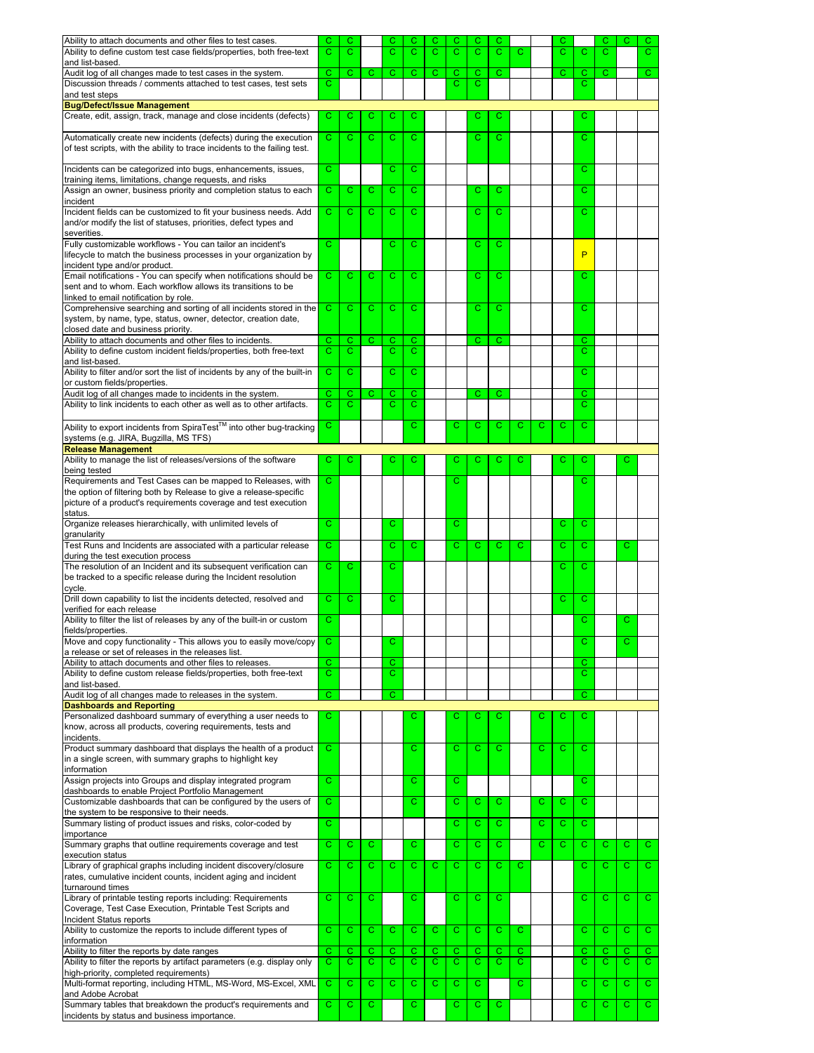| Ability to attach documents and other files to test cases.<br>Ability to define custom test case fields/properties, both free-text                                         | С<br>С            | С<br>C       |             | С<br>С | C<br>C                | C<br>С | C<br>С      | C<br>C       | С<br>Ċ. | С           |             | С<br>Ċ. | С      | С<br>С | С            | C.<br>C.     |
|----------------------------------------------------------------------------------------------------------------------------------------------------------------------------|-------------------|--------------|-------------|--------|-----------------------|--------|-------------|--------------|---------|-------------|-------------|---------|--------|--------|--------------|--------------|
| and list-based.                                                                                                                                                            |                   |              |             |        |                       |        |             |              |         |             |             |         |        |        |              |              |
| Audit log of all changes made to test cases in the system.                                                                                                                 | C.                | $\mathbf C$  | C           | C      | C                     | C      | C           | С            | C.      |             |             | С       | C      | C      |              | C.           |
| Discussion threads / comments attached to test cases, test sets<br>and test steps                                                                                          | С                 |              |             |        |                       |        | С           | С            |         |             |             |         | С      |        |              |              |
| <b>Bug/Defect/Issue Management</b>                                                                                                                                         |                   |              |             |        |                       |        |             |              |         |             |             |         |        |        |              |              |
| Create, edit, assign, track, manage and close incidents (defects)                                                                                                          | С                 | С            | С           | С      | С                     |        |             | С            | С       |             |             |         | С      |        |              |              |
| Automatically create new incidents (defects) during the execution                                                                                                          | Ć                 | Ć            | C           | C      | Ć                     |        |             | Ċ            | Ć       |             |             |         | Ć      |        |              |              |
| of test scripts, with the ability to trace incidents to the failing test.                                                                                                  |                   |              |             |        |                       |        |             |              |         |             |             |         |        |        |              |              |
| Incidents can be categorized into bugs, enhancements, issues,                                                                                                              | C                 |              |             | C      | Ć                     |        |             |              |         |             |             |         | Ć      |        |              |              |
| training items, limitations, change requests, and risks<br>Assign an owner, business priority and completion status to each                                                | C                 | С            | С           | C      | $\overline{\text{c}}$ |        |             | С            | С       |             |             |         | C      |        |              |              |
| incident                                                                                                                                                                   |                   |              |             |        |                       |        |             |              |         |             |             |         |        |        |              |              |
| Incident fields can be customized to fit your business needs. Add<br>and/or modify the list of statuses, priorities, defect types and                                      | С                 | C            | C           | С      | C                     |        |             | C            | С       |             |             |         | С      |        |              |              |
| severities.<br>Fully customizable workflows - You can tailor an incident's<br>lifecycle to match the business processes in your organization by                            | С                 |              |             | C      | С                     |        |             | С            | С       |             |             |         | P      |        |              |              |
| incident type and/or product.<br>Email notifications - You can specify when notifications should be                                                                        | С                 | С            | С           | С      | С                     |        |             | С            | С       |             |             |         | С      |        |              |              |
| sent and to whom. Each workflow allows its transitions to be                                                                                                               |                   |              |             |        |                       |        |             |              |         |             |             |         |        |        |              |              |
| linked to email notification by role.                                                                                                                                      |                   |              |             |        |                       |        |             |              |         |             |             |         |        |        |              |              |
| Comprehensive searching and sorting of all incidents stored in the<br>system, by name, type, status, owner, detector, creation date,<br>closed date and business priority. | С                 | C            | С           | С      | С                     |        |             | С            | С       |             |             |         | С      |        |              |              |
| Ability to attach documents and other files to incidents.                                                                                                                  | C.                | С            | C           | С      | С                     |        |             | C            | C       |             |             |         | С      |        |              |              |
| Ability to define custom incident fields/properties, both free-text                                                                                                        | С                 | C.           |             | С      | C                     |        |             |              |         |             |             |         | С      |        |              |              |
| and list-based.<br>Ability to filter and/or sort the list of incidents by any of the built-in                                                                              | C                 | C            |             | C      | C                     |        |             |              |         |             |             |         | Ć      |        |              |              |
| or custom fields/properties.                                                                                                                                               |                   |              |             |        |                       |        |             |              |         |             |             |         |        |        |              |              |
| Audit log of all changes made to incidents in the system.                                                                                                                  | С                 | C            | С           | С      | C                     |        |             | С            | С       |             |             |         | C      |        |              |              |
| Ability to link incidents to each other as well as to other artifacts.                                                                                                     | Ċ.                | C.           |             | Ć      | C                     |        |             |              |         |             |             |         | Ć      |        |              |              |
| Ability to export incidents from SpiraTest™ into other bug-tracking                                                                                                        | С                 |              |             |        | C.                    |        | C           | C            | С       | С           | C           | С       | Ċ      |        |              |              |
| systems (e.g. JIRA, Bugzilla, MS TFS)<br><b>Release Management</b>                                                                                                         |                   |              |             |        |                       |        |             |              |         |             |             |         |        |        |              |              |
| Ability to manage the list of releases/versions of the software                                                                                                            | С                 | C            |             | C      | С                     |        | C           | С            | С       | C           |             | С       | C      |        | С            |              |
| being tested                                                                                                                                                               |                   |              |             |        |                       |        |             |              |         |             |             |         |        |        |              |              |
| Requirements and Test Cases can be mapped to Releases, with<br>the option of filtering both by Release to give a release-specific                                          | C                 |              |             |        |                       |        | C           |              |         |             |             |         | С      |        |              |              |
| picture of a product's requirements coverage and test execution                                                                                                            |                   |              |             |        |                       |        |             |              |         |             |             |         |        |        |              |              |
| status                                                                                                                                                                     |                   |              |             |        |                       |        |             |              |         |             |             |         |        |        |              |              |
| Organize releases hierarchically, with unlimited levels of                                                                                                                 | C                 |              |             | C      |                       |        | C           |              |         |             |             | C       | Ć      |        |              |              |
| granularity<br>Test Runs and Incidents are associated with a particular release                                                                                            | С                 |              |             | С      | Ċ.                    |        | C           | C            | C       | C           |             | C.      | C      |        | C            |              |
| during the test execution process                                                                                                                                          |                   |              |             |        |                       |        |             |              |         |             |             |         |        |        |              |              |
| The resolution of an Incident and its subsequent verification can                                                                                                          | Ċ.                | C            |             | C      |                       |        |             |              |         |             |             | C       | С      |        |              |              |
| be tracked to a specific release during the Incident resolution<br>cycle                                                                                                   |                   |              |             |        |                       |        |             |              |         |             |             |         |        |        |              |              |
| Drill down capability to list the incidents detected, resolved and                                                                                                         | C.                | $\mathbf{C}$ |             | C      |                       |        |             |              |         |             |             | C       | Ċ      |        |              |              |
| verified for each release                                                                                                                                                  |                   |              |             |        |                       |        |             |              |         |             |             |         |        |        |              |              |
| Ability to filter the list of releases by any of the built-in or custom<br>fields/properties.                                                                              | Ć                 |              |             |        |                       |        |             |              |         |             |             |         | Ć      |        | С            |              |
| Move and copy functionality - This allows you to easily move/copy                                                                                                          | C.                |              |             | С      |                       |        |             |              |         |             |             |         | Ć      |        | $\mathbf C$  |              |
| a release or set of releases in the releases list.                                                                                                                         |                   |              |             |        |                       |        |             |              |         |             |             |         |        |        |              |              |
| Ability to attach documents and other files to releases.                                                                                                                   | $\mathbf{C}$<br>С |              |             | С<br>С |                       |        |             |              |         |             |             |         | с<br>С |        |              |              |
| Ability to define custom release fields/properties, both free-text<br>and list-based.                                                                                      |                   |              |             |        |                       |        |             |              |         |             |             |         |        |        |              |              |
| Audit log of all changes made to releases in the system.                                                                                                                   | С                 |              |             | С      |                       |        |             |              |         |             |             |         | С      |        |              |              |
| <b>Dashboards and Reporting</b>                                                                                                                                            |                   |              |             |        |                       |        |             |              |         |             |             |         |        |        |              |              |
| Personalized dashboard summary of everything a user needs to<br>know, across all products, covering requirements, tests and<br>incidents.                                  | С                 |              |             |        | С                     |        | С           | С            | С       |             | С           | С       | с      |        |              |              |
| Product summary dashboard that displays the health of a product                                                                                                            | $\mathbf{C}$      |              |             |        | $\overline{\text{c}}$ |        | $\mathbf C$ | C            | Ċ.      |             | $\mathbf C$ | C.      | Ċ      |        |              |              |
| in a single screen, with summary graphs to highlight key<br>information                                                                                                    |                   |              |             |        |                       |        |             |              |         |             |             |         |        |        |              |              |
| Assign projects into Groups and display integrated program                                                                                                                 | C.                |              |             |        | C.                    |        | C           |              |         |             |             |         | C      |        |              |              |
| dashboards to enable Project Portfolio Management                                                                                                                          |                   |              |             |        |                       |        |             |              |         |             |             |         |        |        |              |              |
| Customizable dashboards that can be configured by the users of                                                                                                             | C                 |              |             |        | Ċ                     |        | C           | С            | С       |             | С           | С       | C      |        |              |              |
| the system to be responsive to their needs.<br>Summary listing of product issues and risks, color-coded by                                                                 | Ċ                 |              |             |        |                       |        | C           | С            | C.      |             | C           | C.      | C      |        |              |              |
| importance                                                                                                                                                                 |                   |              |             |        |                       |        |             |              |         |             |             |         |        |        |              |              |
| Summary graphs that outline requirements coverage and test                                                                                                                 | С                 | C            | C           |        | C                     |        | C           | С            | C.      |             | C.          | C.      | C      | C      | C            | C.           |
| execution status<br>Library of graphical graphs including incident discovery/closure                                                                                       | C                 | $\mathbf C$  | $\mathbf C$ | C      | C                     | С      | C           | C            | C.      | C           |             |         | C      | C      | С            | $\mathbf{C}$ |
| rates, cumulative incident counts, incident aging and incident<br>turnaround times                                                                                         |                   |              |             |        |                       |        |             |              |         |             |             |         |        |        |              |              |
| Library of printable testing reports including: Requirements                                                                                                               | C                 | $\mathbf C$  | C           |        | C                     |        | C           | $\mathsf{C}$ | С       |             |             |         | C      | C      | C            | $\mathbf{C}$ |
| Coverage, Test Case Execution, Printable Test Scripts and                                                                                                                  |                   |              |             |        |                       |        |             |              |         |             |             |         |        |        |              |              |
| Incident Status reports                                                                                                                                                    |                   |              |             |        |                       |        |             |              |         |             |             |         |        |        |              |              |
| Ability to customize the reports to include different types of<br>information                                                                                              | С                 | C            | $\mathbf C$ | С      | C                     | C      | C           | C            | С       | С           |             |         | С      | C      | C            | $\mathbf{C}$ |
| Ability to filter the reports by date ranges                                                                                                                               | С                 | C.           | C           | С      | C                     | C.     | С           | $\mathbf C$  | C.      | C           |             |         | C      | C      | C            | $\mathbf{C}$ |
| Ability to filter the reports by artifact parameters (e.g. display only                                                                                                    | С                 | C            | C.          | С      | C                     | C.     | C           | C            | C.      | C           |             |         | С      | С      | C.           | $\mathbf{C}$ |
| high-priority, completed requirements)<br>Multi-format reporting, including HTML, MS-Word, MS-Excel, XML                                                                   | C                 | $\mathbf C$  | $\mathbf C$ | C      | C.                    | Ċ      | C           | C.           |         | $\mathbf C$ |             |         | C      | C      | $\mathbf{C}$ | $\mathbf{C}$ |
| and Adobe Acrobat                                                                                                                                                          |                   |              |             |        |                       |        |             |              |         |             |             |         |        |        |              |              |
| Summary tables that breakdown the product's requirements and<br>incidents by status and business importance.                                                               | С                 | C.           | C           |        | С                     |        | С           | С            | C.      |             |             |         | С      | C      | C.           | $\mathbf{C}$ |